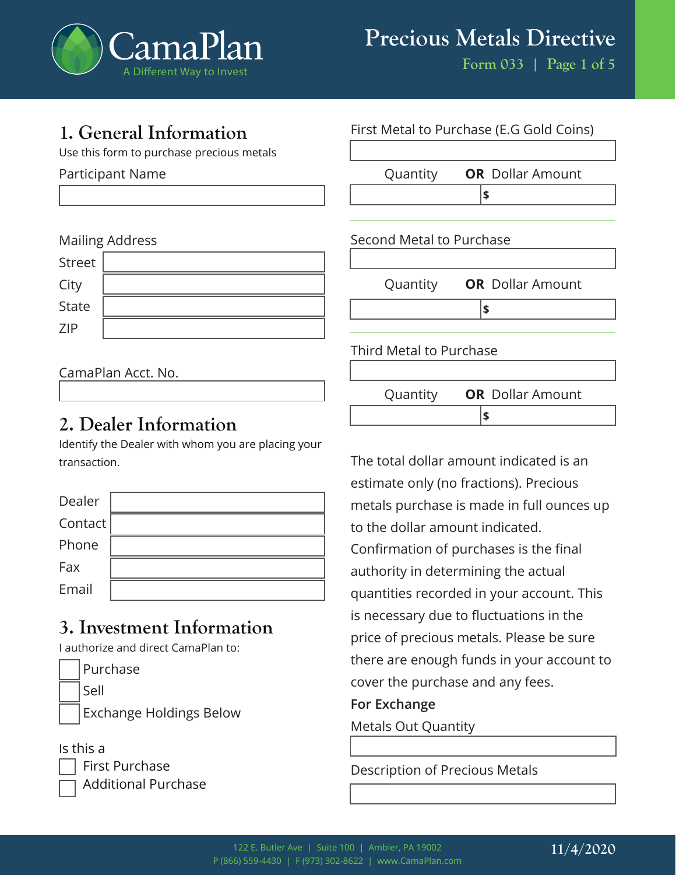

# **1. General Information**

Use this form to purchase precious metals

Participant Name

#### Mailing Address

### CamaPlan Acct. No.

# **2. Dealer Information**

Identify the Dealer with whom you are placing your transaction.

| Dealer  |  |
|---------|--|
| Contact |  |
| Phone   |  |
| Fax     |  |
| Email   |  |

# **3. Investment Information**

I authorize and direct CamaPlan to:

| Purchase                       |
|--------------------------------|
| Sell                           |
| <b>Exchange Holdings Below</b> |

#### Is this a

| First Purchase             |  |
|----------------------------|--|
| $\Box$ Additional Purchase |  |



The total dollar amount indicated is an estimate only (no fractions). Precious metals purchase is made in full ounces up to the dollar amount indicated. Confirmation of purchases is the final authority in determining the actual quantities recorded in your account. This is necessary due to fluctuations in the price of precious metals. Please be sure there are enough funds in your account to cover the purchase and any fees.

#### **For Exchange**

Metals Out Quantity

Description of Precious Metals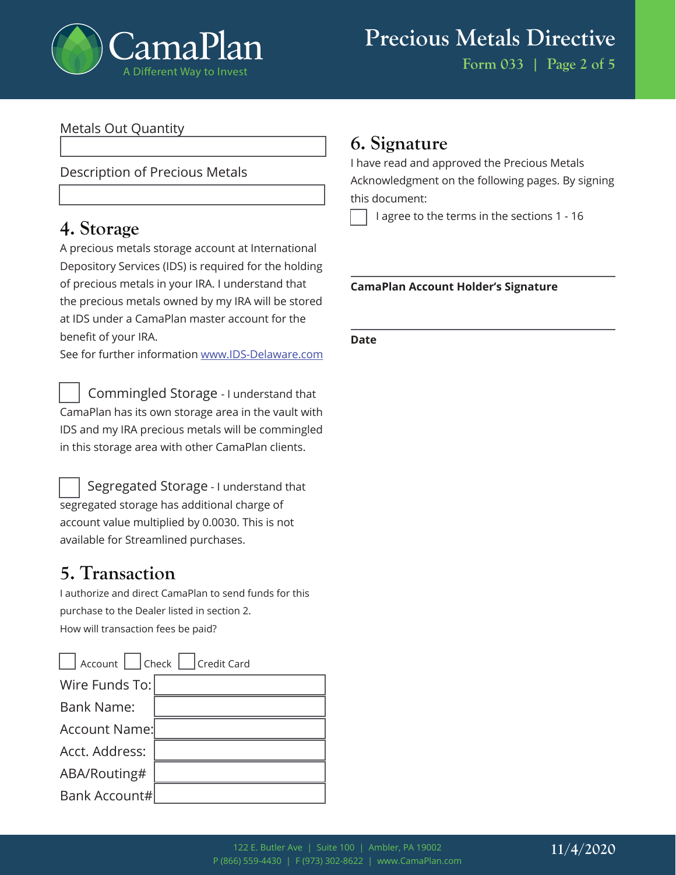

#### Metals Out Quantity

#### Description of Precious Metals

## **4. Storage**

A precious metals storage account at International Depository Services (IDS) is required for the holding of precious metals in your IRA. I understand that the precious metals owned by my IRA will be stored at IDS under a CamaPlan master account for the benefit of your IRA.

See for further information www.IDS-Delaware.com

 Commingled Storage - I understand that CamaPlan has its own storage area in the vault with IDS and my IRA precious metals will be commingled in this storage area with other CamaPlan clients.

 Segregated Storage - I understand that segregated storage has additional charge of account value multiplied by 0.0030. This is not available for Streamlined purchases.

# **5. Transaction**

I authorize and direct CamaPlan to send funds for this purchase to the Dealer listed in section 2. How will transaction fees be paid?

| Account     Check     Credit Card |  |  |  |
|-----------------------------------|--|--|--|
| Wire Funds To:                    |  |  |  |
| <b>Bank Name:</b>                 |  |  |  |
| <b>Account Name:</b>              |  |  |  |
| Acct. Address:                    |  |  |  |
| ABA/Routing#                      |  |  |  |
| Bank Account#                     |  |  |  |

## **6. Signature**

I have read and approved the Precious Metals Acknowledgment on the following pages. By signing this document:

I agree to the terms in the sections 1 - 16

#### **CamaPlan Account Holder's Signature**

#### **Date**

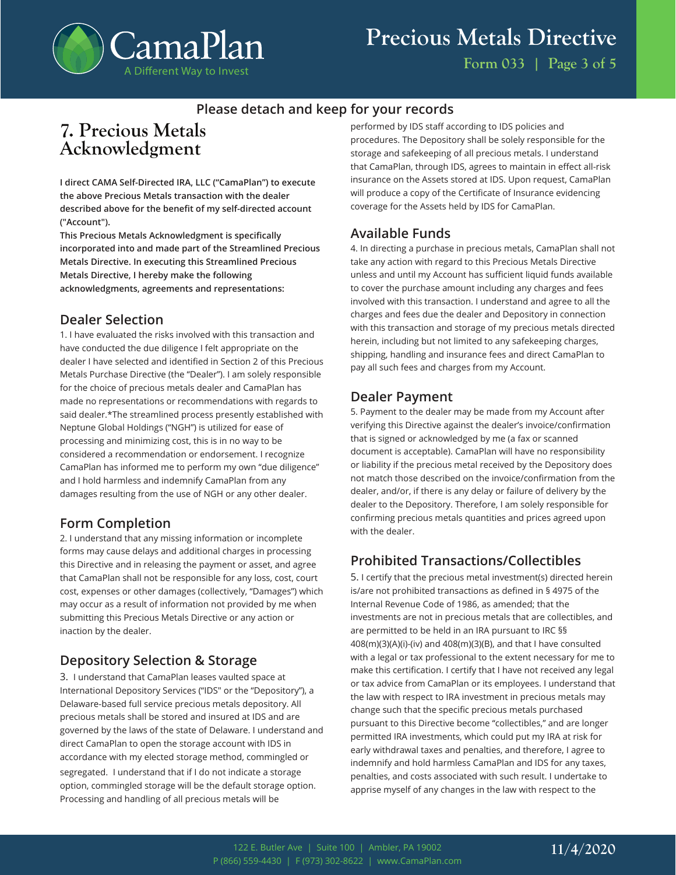

#### **Please detach and keep for your records**

## **7. Precious Metals Acknowledgment**

**I direct CAMA Self-Directed IRA, LLC ("CamaPlan") to execute the above Precious Metals transaction with the dealer described above for the benefit of my self-directed account ("Account").**

**This Precious Metals Acknowledgment is specifically incorporated into and made part of the Streamlined Precious Metals Directive. In executing this Streamlined Precious Metals Directive, I hereby make the following acknowledgments, agreements and representations:**

#### **Dealer Selection**

1. I have evaluated the risks involved with this transaction and have conducted the due diligence I felt appropriate on the dealer I have selected and identified in Section 2 of this Precious Metals Purchase Directive (the "Dealer"). I am solely responsible for the choice of precious metals dealer and CamaPlan has made no representations or recommendations with regards to said dealer.\*The streamlined process presently established with Neptune Global Holdings ("NGH") is utilized for ease of processing and minimizing cost, this is in no way to be considered a recommendation or endorsement. I recognize CamaPlan has informed me to perform my own "due diligence" and I hold harmless and indemnify CamaPlan from any damages resulting from the use of NGH or any other dealer.

#### **Form Completion**

2. I understand that any missing information or incomplete forms may cause delays and additional charges in processing this Directive and in releasing the payment or asset, and agree that CamaPlan shall not be responsible for any loss, cost, court cost, expenses or other damages (collectively, "Damages") which may occur as a result of information not provided by me when submitting this Precious Metals Directive or any action or inaction by the dealer.

#### **Depository Selection & Storage**

3. I understand that CamaPlan leases vaulted space at International Depository Services ("IDS" or the "Depository"), a Delaware-based full service precious metals depository. All precious metals shall be stored and insured at IDS and are governed by the laws of the state of Delaware. I understand and direct CamaPlan to open the storage account with IDS in accordance with my elected storage method, commingled or segregated. I understand that if I do not indicate a storage option, commingled storage will be the default storage option. Processing and handling of all precious metals will be

performed by IDS staff according to IDS policies and procedures. The Depository shall be solely responsible for the storage and safekeeping of all precious metals. I understand that CamaPlan, through IDS, agrees to maintain in effect all-risk insurance on the Assets stored at IDS. Upon request, CamaPlan will produce a copy of the Certificate of Insurance evidencing coverage for the Assets held by IDS for CamaPlan.

#### **Available Funds**

4. In directing a purchase in precious metals, CamaPlan shall not take any action with regard to this Precious Metals Directive unless and until my Account has sufficient liquid funds available to cover the purchase amount including any charges and fees involved with this transaction. I understand and agree to all the charges and fees due the dealer and Depository in connection with this transaction and storage of my precious metals directed herein, including but not limited to any safekeeping charges, shipping, handling and insurance fees and direct CamaPlan to pay all such fees and charges from my Account.

#### **Dealer Payment**

5. Payment to the dealer may be made from my Account after verifying this Directive against the dealer's invoice/confirmation that is signed or acknowledged by me (a fax or scanned document is acceptable). CamaPlan will have no responsibility or liability if the precious metal received by the Depository does not match those described on the invoice/confirmation from the dealer, and/or, if there is any delay or failure of delivery by the dealer to the Depository. Therefore, I am solely responsible for confirming precious metals quantities and prices agreed upon with the dealer.

### **Prohibited Transactions/Collectibles**

5. I certify that the precious metal investment(s) directed herein is/are not prohibited transactions as defined in § 4975 of the Internal Revenue Code of 1986, as amended; that the investments are not in precious metals that are collectibles, and are permitted to be held in an IRA pursuant to IRC §§ 408(m)(3)(A)(i)-(iv) and 408(m)(3)(B), and that I have consulted with a legal or tax professional to the extent necessary for me to make this certification. I certify that I have not received any legal or tax advice from CamaPlan or its employees. I understand that the law with respect to IRA investment in precious metals may change such that the specific precious metals purchased pursuant to this Directive become "collectibles," and are longer permitted IRA investments, which could put my IRA at risk for early withdrawal taxes and penalties, and therefore, I agree to indemnify and hold harmless CamaPlan and IDS for any taxes, penalties, and costs associated with such result. I undertake to apprise myself of any changes in the law with respect to the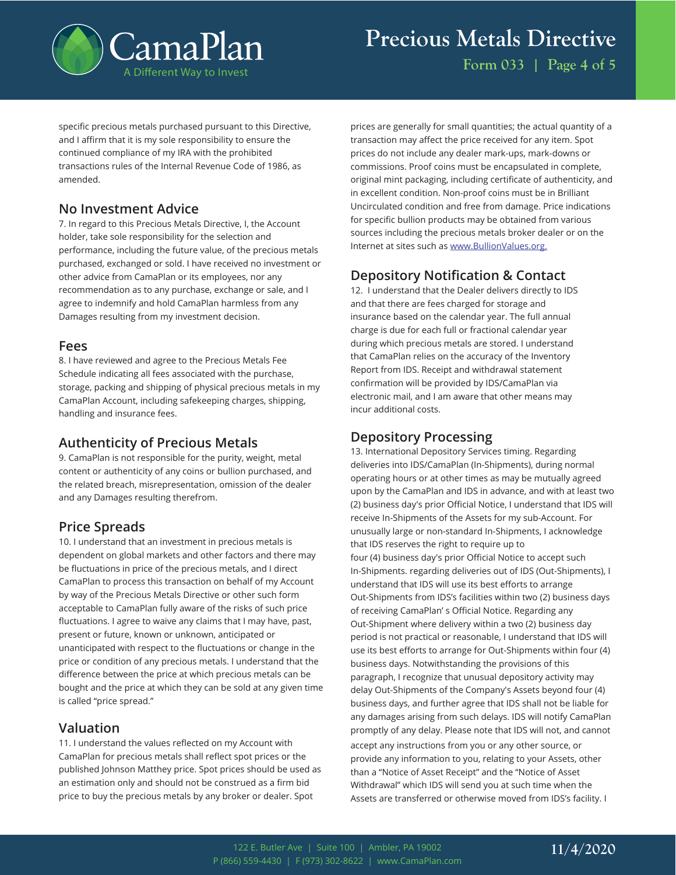

specific precious metals purchased pursuant to this Directive, and I affirm that it is my sole responsibility to ensure the continued compliance of my IRA with the prohibited transactions rules of the Internal Revenue Code of 1986, as amended.

#### **No Investment Advice**

7. In regard to this Precious Metals Directive, I, the Account holder, take sole responsibility for the selection and performance, including the future value, of the precious metals purchased, exchanged or sold. I have received no investment or other advice from CamaPlan or its employees, nor any recommendation as to any purchase, exchange or sale, and I agree to indemnify and hold CamaPlan harmless from any Damages resulting from my investment decision.

#### **Fees**

8. I have reviewed and agree to the Precious Metals Fee Schedule indicating all fees associated with the purchase, storage, packing and shipping of physical precious metals in my CamaPlan Account, including safekeeping charges, shipping, handling and insurance fees.

#### **Authenticity of Precious Metals**

9. CamaPlan is not responsible for the purity, weight, metal content or authenticity of any coins or bullion purchased, and the related breach, misrepresentation, omission of the dealer and any Damages resulting therefrom.

#### **Price Spreads**

10. I understand that an investment in precious metals is dependent on global markets and other factors and there may be fluctuations in price of the precious metals, and I direct CamaPlan to process this transaction on behalf of my Account by way of the Precious Metals Directive or other such form acceptable to CamaPlan fully aware of the risks of such price fluctuations. I agree to waive any claims that I may have, past, present or future, known or unknown, anticipated or unanticipated with respect to the fluctuations or change in the price or condition of any precious metals. I understand that the difference between the price at which precious metals can be bought and the price at which they can be sold at any given time is called "price spread."

#### **Valuation**

11. I understand the values reflected on my Account with CamaPlan for precious metals shall reflect spot prices or the published Johnson Matthey price. Spot prices should be used as an estimation only and should not be construed as a firm bid price to buy the precious metals by any broker or dealer. Spot

prices are generally for small quantities; the actual quantity of a transaction may affect the price received for any item. Spot prices do not include any dealer mark-ups, mark-downs or commissions. Proof coins must be encapsulated in complete, original mint packaging, including certificate of authenticity, and in excellent condition. Non-proof coins must be in Brilliant Uncirculated condition and free from damage. Price indications for specific bullion products may be obtained from various sources including the precious metals broker dealer or on the Internet at sites such as www.BullionValues.org.

#### **Depository Notification & Contact**

12. I understand that the Dealer delivers directly to IDS and that there are fees charged for storage and insurance based on the calendar year. The full annual charge is due for each full or fractional calendar year during which precious metals are stored. I understand that CamaPlan relies on the accuracy of the Inventory Report from IDS. Receipt and withdrawal statement confirmation will be provided by IDS/CamaPlan via electronic mail, and I am aware that other means may incur additional costs.

#### **Depository Processing**

13. International Depository Services timing. Regarding deliveries into IDS/CamaPlan (In-Shipments), during normal operating hours or at other times as may be mutually agreed upon by the CamaPlan and IDS in advance, and with at least two (2) business day's prior Official Notice, I understand that IDS will receive In-Shipments of the Assets for my sub-Account. For unusually large or non-standard In-Shipments, I acknowledge that IDS reserves the right to require up to four (4) business day's prior Official Notice to accept such In-Shipments. regarding deliveries out of IDS (Out-Shipments), I understand that IDS will use its best efforts to arrange Out-Shipments from IDS's facilities within two (2) business days of receiving CamaPlan' s Official Notice. Regarding any Out-Shipment where delivery within a two (2) business day period is not practical or reasonable, I understand that IDS will use its best efforts to arrange for Out-Shipments within four (4) business days. Notwithstanding the provisions of this paragraph, I recognize that unusual depository activity may delay Out-Shipments of the Company's Assets beyond four (4) business days, and further agree that IDS shall not be liable for any damages arising from such delays. IDS will notify CamaPlan promptly of any delay. Please note that IDS will not, and cannot accept any instructions from you or any other source, or provide any information to you, relating to your Assets, other than a "Notice of Asset Receipt" and the "Notice of Asset Withdrawal" which IDS will send you at such time when the

Assets are transferred or otherwise moved from IDS's facility. I